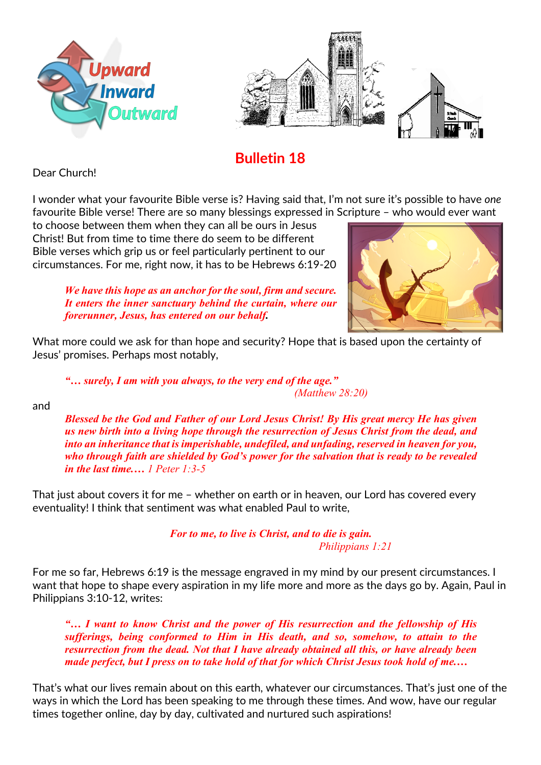



## **Bulletin 18**

Dear Church!

I wonder what your favourite Bible verse is? Having said that, I'm not sure it's possible to have *one* favourite Bible verse! There are so many blessings expressed in Scripture – who would ever want

to choose between them when they can all be ours in Jesus Christ! But from time to time there do seem to be different Bible verses which grip us or feel particularly pertinent to our circumstances. For me, right now, it has to be Hebrews 6:19-20



*We have this hope as an anchor for the soul, firm and secure. It enters the inner sanctuary behind the curtain, where our forerunner, Jesus, has entered on our behalf.*

What more could we ask for than hope and security? Hope that is based upon the certainty of Jesus' promises. Perhaps most notably,

*"… surely, I am with you always, to the very end of the age." (Matthew 28:20)*

and

*Blessed be the God and Father of our Lord Jesus Christ! By His great mercy He has given us new birth into a living hope through the resurrection of Jesus Christ from the dead, and into an inheritance that is imperishable, undefiled, and unfading, reserved in heaven for you, who through faith are shielded by God's power for the salvation that is ready to be revealed in the last time.… 1 Peter 1:3-5*

That just about covers it for me – whether on earth or in heaven, our Lord has covered every eventuality! I think that sentiment was what enabled Paul to write,

> *For to me, to live is Christ, and to die is gain. Philippians 1:21*

For me so far, Hebrews 6:19 is the message engraved in my mind by our present circumstances. I want that hope to shape every aspiration in my life more and more as the days go by. Again, Paul in Philippians 3:10-12, writes:

*"… I want to know Christ and the power of His resurrection and the fellowship of His sufferings, being conformed to Him in His death, and so, somehow, to attain to the resurrection from the dead. Not that I have already obtained all this, or have already been made perfect, but I press on to take hold of that for which Christ Jesus took hold of me.…*

That's what our lives remain about on this earth, whatever our circumstances. That's just one of the ways in which the Lord has been speaking to me through these times. And wow, have our regular times together online, day by day, cultivated and nurtured such aspirations!